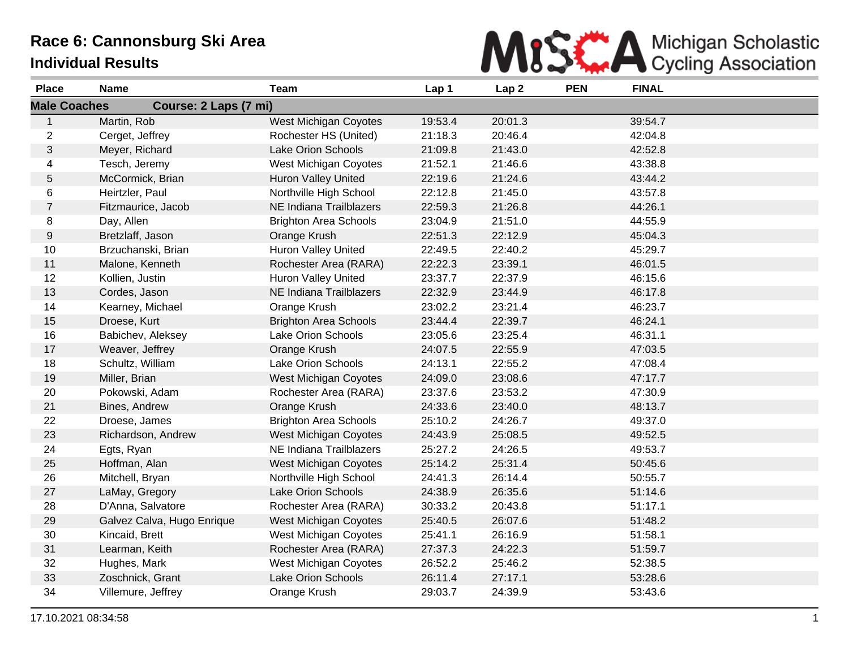## **Race 6: Cannonsburg Ski Area Individual Results**



| <b>Place</b>     | <b>Name</b>                                  | <b>Team</b>                  | Lap 1   | Lap <sub>2</sub> | <b>PEN</b> | <b>FINAL</b> |  |  |
|------------------|----------------------------------------------|------------------------------|---------|------------------|------------|--------------|--|--|
|                  | <b>Male Coaches</b><br>Course: 2 Laps (7 mi) |                              |         |                  |            |              |  |  |
| $\mathbf{1}$     | Martin, Rob                                  | West Michigan Coyotes        | 19:53.4 | 20:01.3          |            | 39:54.7      |  |  |
| $\overline{c}$   | Cerget, Jeffrey                              | Rochester HS (United)        | 21:18.3 | 20:46.4          |            | 42:04.8      |  |  |
| $\sqrt{3}$       | Meyer, Richard                               | <b>Lake Orion Schools</b>    | 21:09.8 | 21:43.0          |            | 42:52.8      |  |  |
| $\overline{4}$   | Tesch, Jeremy                                | West Michigan Coyotes        | 21:52.1 | 21:46.6          |            | 43:38.8      |  |  |
| $\mathbf 5$      | McCormick, Brian                             | <b>Huron Valley United</b>   | 22:19.6 | 21:24.6          |            | 43:44.2      |  |  |
| 6                | Heirtzler, Paul                              | Northville High School       | 22:12.8 | 21:45.0          |            | 43:57.8      |  |  |
| $\overline{7}$   | Fitzmaurice, Jacob                           | NE Indiana Trailblazers      | 22:59.3 | 21:26.8          |            | 44:26.1      |  |  |
| 8                | Day, Allen                                   | <b>Brighton Area Schools</b> | 23:04.9 | 21:51.0          |            | 44:55.9      |  |  |
| $\boldsymbol{9}$ | Bretzlaff, Jason                             | Orange Krush                 | 22:51.3 | 22:12.9          |            | 45:04.3      |  |  |
| 10               | Brzuchanski, Brian                           | Huron Valley United          | 22:49.5 | 22:40.2          |            | 45:29.7      |  |  |
| 11               | Malone, Kenneth                              | Rochester Area (RARA)        | 22:22.3 | 23:39.1          |            | 46:01.5      |  |  |
| 12               | Kollien, Justin                              | Huron Valley United          | 23:37.7 | 22:37.9          |            | 46:15.6      |  |  |
| 13               | Cordes, Jason                                | NE Indiana Trailblazers      | 22:32.9 | 23:44.9          |            | 46:17.8      |  |  |
| 14               | Kearney, Michael                             | Orange Krush                 | 23:02.2 | 23:21.4          |            | 46:23.7      |  |  |
| 15               | Droese, Kurt                                 | <b>Brighton Area Schools</b> | 23:44.4 | 22:39.7          |            | 46:24.1      |  |  |
| 16               | Babichev, Aleksey                            | <b>Lake Orion Schools</b>    | 23:05.6 | 23:25.4          |            | 46:31.1      |  |  |
| 17               | Weaver, Jeffrey                              | Orange Krush                 | 24:07.5 | 22:55.9          |            | 47:03.5      |  |  |
| 18               | Schultz, William                             | Lake Orion Schools           | 24:13.1 | 22:55.2          |            | 47:08.4      |  |  |
| 19               | Miller, Brian                                | <b>West Michigan Coyotes</b> | 24:09.0 | 23:08.6          |            | 47:17.7      |  |  |
| 20               | Pokowski, Adam                               | Rochester Area (RARA)        | 23:37.6 | 23:53.2          |            | 47:30.9      |  |  |
| 21               | Bines, Andrew                                | Orange Krush                 | 24:33.6 | 23:40.0          |            | 48:13.7      |  |  |
| 22               | Droese, James                                | <b>Brighton Area Schools</b> | 25:10.2 | 24:26.7          |            | 49:37.0      |  |  |
| 23               | Richardson, Andrew                           | West Michigan Coyotes        | 24:43.9 | 25:08.5          |            | 49:52.5      |  |  |
| 24               | Egts, Ryan                                   | NE Indiana Trailblazers      | 25:27.2 | 24:26.5          |            | 49:53.7      |  |  |
| 25               | Hoffman, Alan                                | <b>West Michigan Coyotes</b> | 25:14.2 | 25:31.4          |            | 50:45.6      |  |  |
| 26               | Mitchell, Bryan                              | Northville High School       | 24:41.3 | 26:14.4          |            | 50:55.7      |  |  |
| 27               | LaMay, Gregory                               | Lake Orion Schools           | 24:38.9 | 26:35.6          |            | 51:14.6      |  |  |
| 28               | D'Anna, Salvatore                            | Rochester Area (RARA)        | 30:33.2 | 20:43.8          |            | 51:17.1      |  |  |
| 29               | Galvez Calva, Hugo Enrique                   | West Michigan Coyotes        | 25:40.5 | 26:07.6          |            | 51:48.2      |  |  |
| 30               | Kincaid, Brett                               | West Michigan Coyotes        | 25:41.1 | 26:16.9          |            | 51:58.1      |  |  |
| 31               | Learman, Keith                               | Rochester Area (RARA)        | 27:37.3 | 24:22.3          |            | 51:59.7      |  |  |
| 32               | Hughes, Mark                                 | West Michigan Coyotes        | 26:52.2 | 25:46.2          |            | 52:38.5      |  |  |
| 33               | Zoschnick, Grant                             | Lake Orion Schools           | 26:11.4 | 27:17.1          |            | 53:28.6      |  |  |
| 34               | Villemure, Jeffrey                           | Orange Krush                 | 29:03.7 | 24:39.9          |            | 53:43.6      |  |  |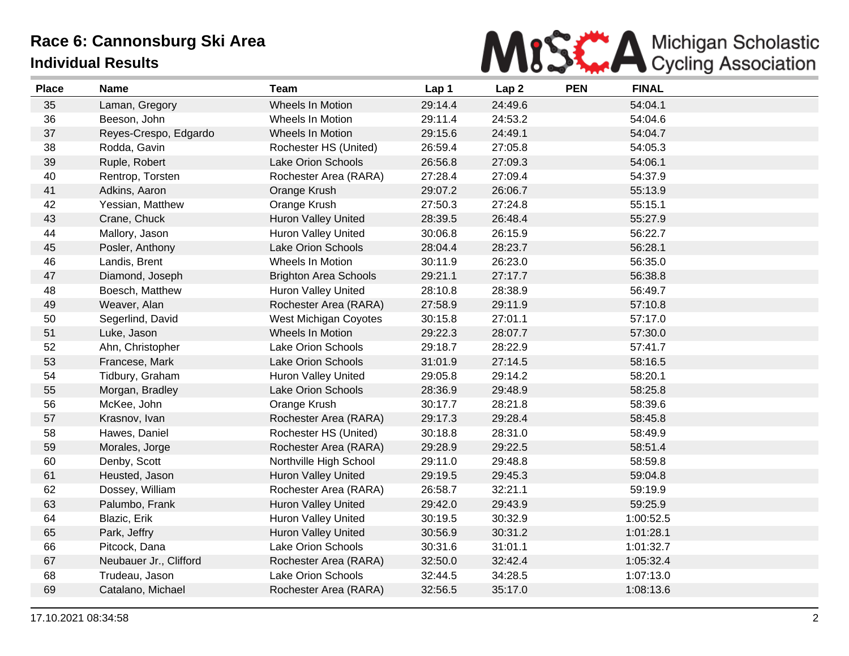## **Race 6: Cannonsburg Ski Area Individual Results**



| <b>Place</b> | <b>Name</b>            | <b>Team</b>                  | Lap 1   | Lap <sub>2</sub> | <b>PEN</b> | <b>FINAL</b> |
|--------------|------------------------|------------------------------|---------|------------------|------------|--------------|
| 35           | Laman, Gregory         | <b>Wheels In Motion</b>      | 29:14.4 | 24:49.6          |            | 54:04.1      |
| 36           | Beeson, John           | Wheels In Motion             | 29:11.4 | 24:53.2          |            | 54:04.6      |
| 37           | Reyes-Crespo, Edgardo  | Wheels In Motion             | 29:15.6 | 24:49.1          |            | 54:04.7      |
| 38           | Rodda, Gavin           | Rochester HS (United)        | 26:59.4 | 27:05.8          |            | 54:05.3      |
| 39           | Ruple, Robert          | <b>Lake Orion Schools</b>    | 26:56.8 | 27:09.3          |            | 54:06.1      |
| 40           | Rentrop, Torsten       | Rochester Area (RARA)        | 27:28.4 | 27:09.4          |            | 54:37.9      |
| 41           | Adkins, Aaron          | Orange Krush                 | 29:07.2 | 26:06.7          |            | 55:13.9      |
| 42           | Yessian, Matthew       | Orange Krush                 | 27:50.3 | 27:24.8          |            | 55:15.1      |
| 43           | Crane, Chuck           | <b>Huron Valley United</b>   | 28:39.5 | 26:48.4          |            | 55:27.9      |
| 44           | Mallory, Jason         | <b>Huron Valley United</b>   | 30:06.8 | 26:15.9          |            | 56:22.7      |
| 45           | Posler, Anthony        | Lake Orion Schools           | 28:04.4 | 28:23.7          |            | 56:28.1      |
| 46           | Landis, Brent          | Wheels In Motion             | 30:11.9 | 26:23.0          |            | 56:35.0      |
| 47           | Diamond, Joseph        | <b>Brighton Area Schools</b> | 29:21.1 | 27:17.7          |            | 56:38.8      |
| 48           | Boesch, Matthew        | Huron Valley United          | 28:10.8 | 28:38.9          |            | 56:49.7      |
| 49           | Weaver, Alan           | Rochester Area (RARA)        | 27:58.9 | 29:11.9          |            | 57:10.8      |
| 50           | Segerlind, David       | West Michigan Coyotes        | 30:15.8 | 27:01.1          |            | 57:17.0      |
| 51           | Luke, Jason            | Wheels In Motion             | 29:22.3 | 28:07.7          |            | 57:30.0      |
| 52           | Ahn, Christopher       | Lake Orion Schools           | 29:18.7 | 28:22.9          |            | 57:41.7      |
| 53           | Francese, Mark         | Lake Orion Schools           | 31:01.9 | 27:14.5          |            | 58:16.5      |
| 54           | Tidbury, Graham        | Huron Valley United          | 29:05.8 | 29:14.2          |            | 58:20.1      |
| 55           | Morgan, Bradley        | Lake Orion Schools           | 28:36.9 | 29:48.9          |            | 58:25.8      |
| 56           | McKee, John            | Orange Krush                 | 30:17.7 | 28:21.8          |            | 58:39.6      |
| 57           | Krasnov, Ivan          | Rochester Area (RARA)        | 29:17.3 | 29:28.4          |            | 58:45.8      |
| 58           | Hawes, Daniel          | Rochester HS (United)        | 30:18.8 | 28:31.0          |            | 58:49.9      |
| 59           | Morales, Jorge         | Rochester Area (RARA)        | 29:28.9 | 29:22.5          |            | 58:51.4      |
| 60           | Denby, Scott           | Northville High School       | 29:11.0 | 29:48.8          |            | 58:59.8      |
| 61           | Heusted, Jason         | <b>Huron Valley United</b>   | 29:19.5 | 29:45.3          |            | 59:04.8      |
| 62           | Dossey, William        | Rochester Area (RARA)        | 26:58.7 | 32:21.1          |            | 59:19.9      |
| 63           | Palumbo, Frank         | <b>Huron Valley United</b>   | 29:42.0 | 29:43.9          |            | 59:25.9      |
| 64           | Blazic, Erik           | Huron Valley United          | 30:19.5 | 30:32.9          |            | 1:00:52.5    |
| 65           | Park, Jeffry           | <b>Huron Valley United</b>   | 30:56.9 | 30:31.2          |            | 1:01:28.1    |
| 66           | Pitcock, Dana          | <b>Lake Orion Schools</b>    | 30:31.6 | 31:01.1          |            | 1:01:32.7    |
| 67           | Neubauer Jr., Clifford | Rochester Area (RARA)        | 32:50.0 | 32:42.4          |            | 1:05:32.4    |
| 68           | Trudeau, Jason         | Lake Orion Schools           | 32:44.5 | 34:28.5          |            | 1:07:13.0    |
| 69           | Catalano, Michael      | Rochester Area (RARA)        | 32:56.5 | 35:17.0          |            | 1:08:13.6    |